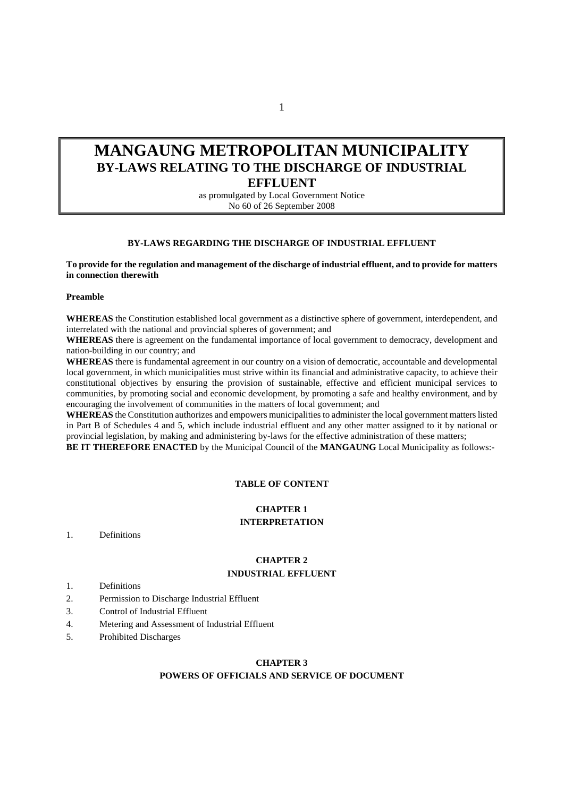# **MANGAUNG METROPOLITAN MUNICIPALITY BY-LAWS RELATING TO THE DISCHARGE OF INDUSTRIAL EFFLUENT**

as promulgated by Local Government Notice No 60 of 26 September 2008

#### **BY-LAWS REGARDING THE DISCHARGE OF INDUSTRIAL EFFLUENT**

**To provide for the regulation and management of the discharge of industrial effluent, and to provide for matters in connection therewith** 

#### **Preamble**

**WHEREAS** the Constitution established local government as a distinctive sphere of government, interdependent, and interrelated with the national and provincial spheres of government; and

**WHEREAS** there is agreement on the fundamental importance of local government to democracy, development and nation-building in our country; and

**WHEREAS** there is fundamental agreement in our country on a vision of democratic, accountable and developmental local government, in which municipalities must strive within its financial and administrative capacity, to achieve their constitutional objectives by ensuring the provision of sustainable, effective and efficient municipal services to communities, by promoting social and economic development, by promoting a safe and healthy environment, and by encouraging the involvement of communities in the matters of local government; and

**WHEREAS** the Constitution authorizes and empowers municipalities to administer the local government matters listed in Part B of Schedules 4 and 5, which include industrial effluent and any other matter assigned to it by national or provincial legislation, by making and administering by-laws for the effective administration of these matters;

**BE IT THEREFORE ENACTED** by the Municipal Council of the **MANGAUNG** Local Municipality as follows:-

#### **TABLE OF CONTENT**

# **CHAPTER 1 INTERPRETATION**

1. Definitions

#### **CHAPTER 2 INDUSTRIAL EFFLUENT**

- 1. Definitions
- 2. Permission to Discharge Industrial Effluent
- 3. Control of Industrial Effluent
- 4. Metering and Assessment of Industrial Effluent
- 5. Prohibited Discharges

#### **CHAPTER 3**

#### **POWERS OF OFFICIALS AND SERVICE OF DOCUMENT**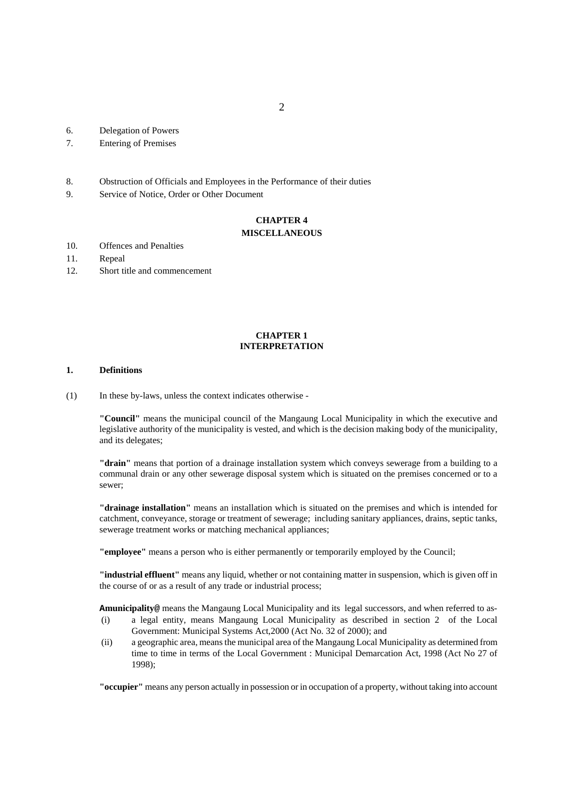- 6. Delegation of Powers
- 7. Entering of Premises
- 8. Obstruction of Officials and Employees in the Performance of their duties
- 9. Service of Notice, Order or Other Document

# **CHAPTER 4**

# **MISCELLANEOUS**

- 10. Offences and Penalties
- 11. Repeal
- 12. Short title and commencement

#### **CHAPTER 1 INTERPRETATION**

#### **1. Definitions**

(1) In these by-laws, unless the context indicates otherwise -

**"Council"** means the municipal council of the Mangaung Local Municipality in which the executive and legislative authority of the municipality is vested, and which is the decision making body of the municipality, and its delegates;

**"drain"** means that portion of a drainage installation system which conveys sewerage from a building to a communal drain or any other sewerage disposal system which is situated on the premises concerned or to a sewer;

**"drainage installation"** means an installation which is situated on the premises and which is intended for catchment, conveyance, storage or treatment of sewerage; including sanitary appliances, drains, septic tanks, sewerage treatment works or matching mechanical appliances;

**"employee"** means a person who is either permanently or temporarily employed by the Council;

**"industrial effluent"** means any liquid, whether or not containing matter in suspension, which is given off in the course of or as a result of any trade or industrial process;

**Amunicipality@** means the Mangaung Local Municipality and its legal successors, and when referred to as-

- (i) a legal entity, means Mangaung Local Municipality as described in section 2 of the Local Government: Municipal Systems Act,2000 (Act No. 32 of 2000); and
- (ii) a geographic area, means the municipal area of the Mangaung Local Municipality as determined from time to time in terms of the Local Government : Municipal Demarcation Act, 1998 (Act No 27 of 1998);

**"occupier"** means any person actually in possession or in occupation of a property, without taking into account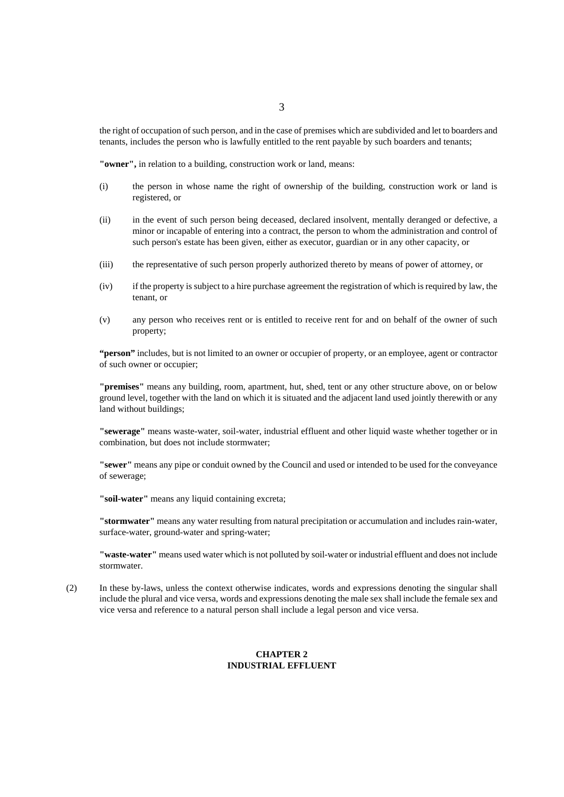the right of occupation of such person, and in the case of premises which are subdivided and let to boarders and tenants, includes the person who is lawfully entitled to the rent payable by such boarders and tenants;

**"owner",** in relation to a building, construction work or land, means:

- (i) the person in whose name the right of ownership of the building, construction work or land is registered, or
- (ii) in the event of such person being deceased, declared insolvent, mentally deranged or defective, a minor or incapable of entering into a contract, the person to whom the administration and control of such person's estate has been given, either as executor, guardian or in any other capacity, or
- (iii) the representative of such person properly authorized thereto by means of power of attorney, or
- (iv) if the property is subject to a hire purchase agreement the registration of which is required by law, the tenant, or
- (v) any person who receives rent or is entitled to receive rent for and on behalf of the owner of such property;

**"person"** includes, but is not limited to an owner or occupier of property, or an employee, agent or contractor of such owner or occupier;

**"premises"** means any building, room, apartment, hut, shed, tent or any other structure above, on or below ground level, together with the land on which it is situated and the adjacent land used jointly therewith or any land without buildings;

**"sewerage"** means waste-water, soil-water, industrial effluent and other liquid waste whether together or in combination, but does not include stormwater;

**"sewer"** means any pipe or conduit owned by the Council and used or intended to be used for the conveyance of sewerage;

**"soil-water"** means any liquid containing excreta;

**"stormwater"** means any water resulting from natural precipitation or accumulation and includes rain-water, surface-water, ground-water and spring-water;

**"waste-water"** means used water which is not polluted by soil-water or industrial effluent and does not include stormwater.

(2)In these by-laws, unless the context otherwise indicates, words and expressions denoting the singular shall include the plural and vice versa, words and expressions denoting the male sex shall include the female sex and vice versa and reference to a natural person shall include a legal person and vice versa.

## **CHAPTER 2 INDUSTRIAL EFFLUENT**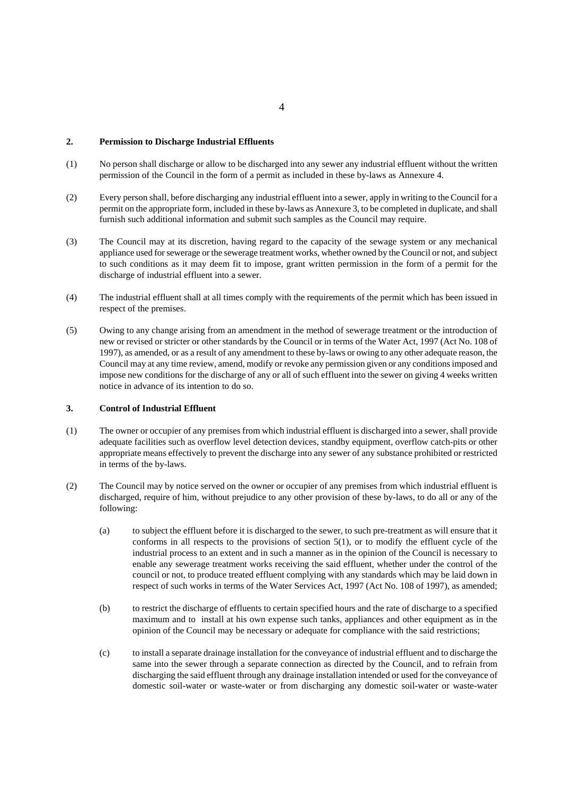#### **2. Permission to Discharge Industrial Effluents**

- (1) No person shall discharge or allow to be discharged into any sewer any industrial effluent without the written permission of the Council in the form of a permit as included in these by-laws as Annexure 4.
- (2) Every person shall, before discharging any industrial effluent into a sewer, apply in writing to the Council for a permit on the appropriate form, included in these by-laws as Annexure 3, to be completed in duplicate, and shall furnish such additional information and submit such samples as the Council may require.
- (3) The Council may at its discretion, having regard to the capacity of the sewage system or any mechanical appliance used for sewerage or the sewerage treatment works, whether owned by the Council or not, and subject to such conditions as it may deem fit to impose, grant written permission in the form of a permit for the discharge of industrial effluent into a sewer.
- (4) The industrial effluent shall at all times comply with the requirements of the permit which has been issued in respect of the premises.
- (5) Owing to any change arising from an amendment in the method of sewerage treatment or the introduction of new or revised or stricter or other standards by the Council or in terms of the Water Act, 1997 (Act No. 108 of 1997), as amended, or as a result of any amendment to these by-laws or owing to any other adequate reason, the Council may at any time review, amend, modify or revoke any permission given or any conditions imposed and impose new conditions for the discharge of any or all of such effluent into the sewer on giving 4 weeks written notice in advance of its intention to do so.

#### **3. Control of Industrial Effluent**

- (1) The owner or occupier of any premises from which industrial effluent is discharged into a sewer, shall provide adequate facilities such as overflow level detection devices, standby equipment, overflow catch-pits or other appropriate means effectively to prevent the discharge into any sewer of any substance prohibited or restricted in terms of the by-laws.
- (2) The Council may by notice served on the owner or occupier of any premises from which industrial effluent is discharged, require of him, without prejudice to any other provision of these by-laws, to do all or any of the following:
	- (a) to subject the effluent before it is discharged to the sewer, to such pre-treatment as will ensure that it conforms in all respects to the provisions of section 5(1), or to modify the effluent cycle of the industrial process to an extent and in such a manner as in the opinion of the Council is necessary to enable any sewerage treatment works receiving the said effluent, whether under the control of the council or not, to produce treated effluent complying with any standards which may be laid down in respect of such works in terms of the Water Services Act, 1997 (Act No. 108 of 1997), as amended;
	- (b) to restrict the discharge of effluents to certain specified hours and the rate of discharge to a specified maximum and to install at his own expense such tanks, appliances and other equipment as in the opinion of the Council may be necessary or adequate for compliance with the said restrictions;
	- (c) to install a separate drainage installation for the conveyance of industrial effluent and to discharge the same into the sewer through a separate connection as directed by the Council, and to refrain from discharging the said effluent through any drainage installation intended or used for the conveyance of domestic soil-water or waste-water or from discharging any domestic soil-water or waste-water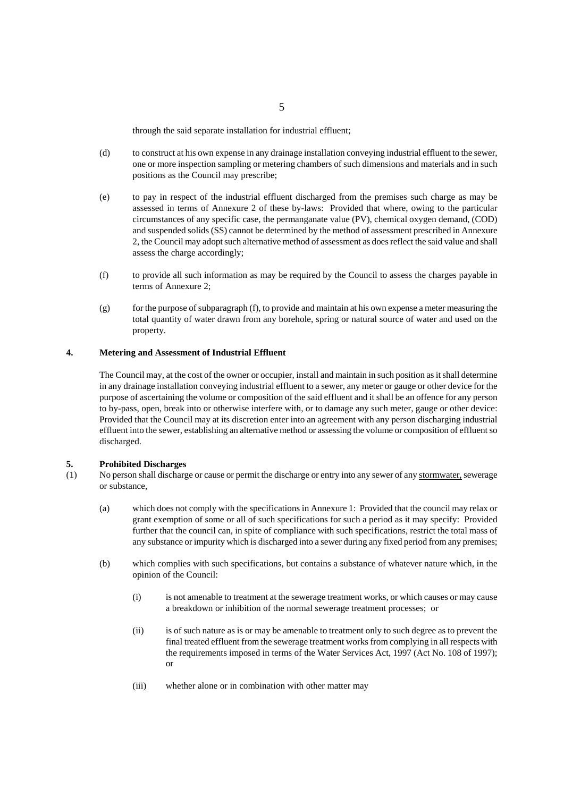through the said separate installation for industrial effluent;

- (d) to construct at his own expense in any drainage installation conveying industrial effluent to the sewer, one or more inspection sampling or metering chambers of such dimensions and materials and in such positions as the Council may prescribe;
- (e) to pay in respect of the industrial effluent discharged from the premises such charge as may be assessed in terms of Annexure 2 of these by-laws: Provided that where, owing to the particular circumstances of any specific case, the permanganate value (PV), chemical oxygen demand, (COD) and suspended solids (SS) cannot be determined by the method of assessment prescribed in Annexure 2, the Council may adopt such alternative method of assessment as does reflect the said value and shall assess the charge accordingly;
- (f) to provide all such information as may be required by the Council to assess the charges payable in terms of Annexure 2;
- (g) for the purpose of subparagraph (f), to provide and maintain at his own expense a meter measuring the total quantity of water drawn from any borehole, spring or natural source of water and used on the property.

#### **4. Metering and Assessment of Industrial Effluent**

The Council may, at the cost of the owner or occupier, install and maintain in such position as it shall determine in any drainage installation conveying industrial effluent to a sewer, any meter or gauge or other device for the purpose of ascertaining the volume or composition of the said effluent and it shall be an offence for any person to by-pass, open, break into or otherwise interfere with, or to damage any such meter, gauge or other device: Provided that the Council may at its discretion enter into an agreement with any person discharging industrial effluent into the sewer, establishing an alternative method or assessing the volume or composition of effluent so discharged.

#### **5. Prohibited Discharges**

- (1) No person shall discharge or cause or permit the discharge or entry into any sewer of any stormwater, sewerage or substance,
	- (a) which does not comply with the specifications in Annexure 1: Provided that the council may relax or grant exemption of some or all of such specifications for such a period as it may specify: Provided further that the council can, in spite of compliance with such specifications, restrict the total mass of any substance or impurity which is discharged into a sewer during any fixed period from any premises;
	- (b) which complies with such specifications, but contains a substance of whatever nature which, in the opinion of the Council:
		- (i) is not amenable to treatment at the sewerage treatment works, or which causes or may cause a breakdown or inhibition of the normal sewerage treatment processes; or
		- (ii) is of such nature as is or may be amenable to treatment only to such degree as to prevent the final treated effluent from the sewerage treatment works from complying in all respects with the requirements imposed in terms of the Water Services Act, 1997 (Act No. 108 of 1997); or
		- (iii) whether alone or in combination with other matter may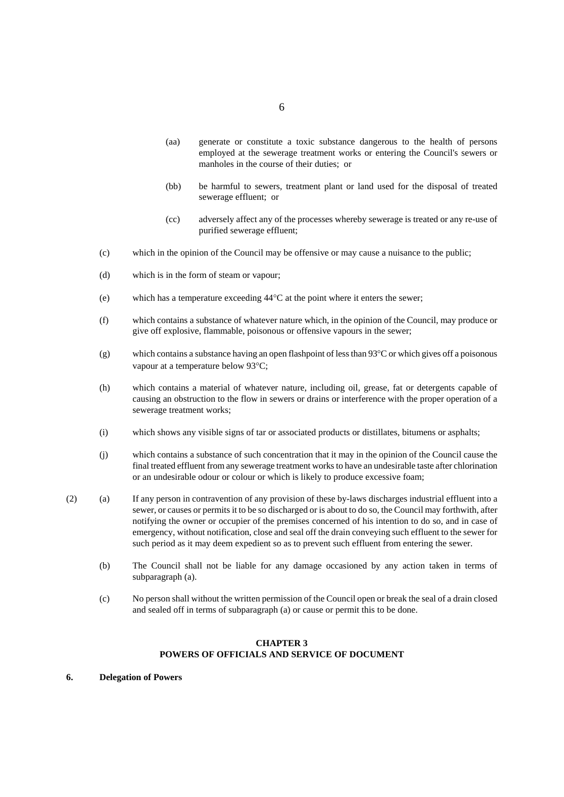- 6
- (aa) generate or constitute a toxic substance dangerous to the health of persons employed at the sewerage treatment works or entering the Council's sewers or manholes in the course of their duties; or
- (bb) be harmful to sewers, treatment plant or land used for the disposal of treated sewerage effluent; or
- (cc) adversely affect any of the processes whereby sewerage is treated or any re-use of purified sewerage effluent;
- (c) which in the opinion of the Council may be offensive or may cause a nuisance to the public;
- (d) which is in the form of steam or vapour;
- (e) which has a temperature exceeding  $44^{\circ}$ C at the point where it enters the sewer;
- (f) which contains a substance of whatever nature which, in the opinion of the Council, may produce or give off explosive, flammable, poisonous or offensive vapours in the sewer;
- (g) which contains a substance having an open flashpoint of less than  $93^{\circ}$ C or which gives off a poisonous vapour at a temperature below 93°C;
- (h) which contains a material of whatever nature, including oil, grease, fat or detergents capable of causing an obstruction to the flow in sewers or drains or interference with the proper operation of a sewerage treatment works;
- (i) which shows any visible signs of tar or associated products or distillates, bitumens or asphalts;
- (j) which contains a substance of such concentration that it may in the opinion of the Council cause the final treated effluent from any sewerage treatment works to have an undesirable taste after chlorination or an undesirable odour or colour or which is likely to produce excessive foam;
- (2) (a) If any person in contravention of any provision of these by-laws discharges industrial effluent into a sewer, or causes or permits it to be so discharged or is about to do so, the Council may forthwith, after notifying the owner or occupier of the premises concerned of his intention to do so, and in case of emergency, without notification, close and seal off the drain conveying such effluent to the sewer for such period as it may deem expedient so as to prevent such effluent from entering the sewer.
	- (b) The Council shall not be liable for any damage occasioned by any action taken in terms of subparagraph (a).
	- (c) No person shall without the written permission of the Council open or break the seal of a drain closed and sealed off in terms of subparagraph (a) or cause or permit this to be done.

#### **CHAPTER 3 POWERS OF OFFICIALS AND SERVICE OF DOCUMENT**

**6. Delegation of Powers**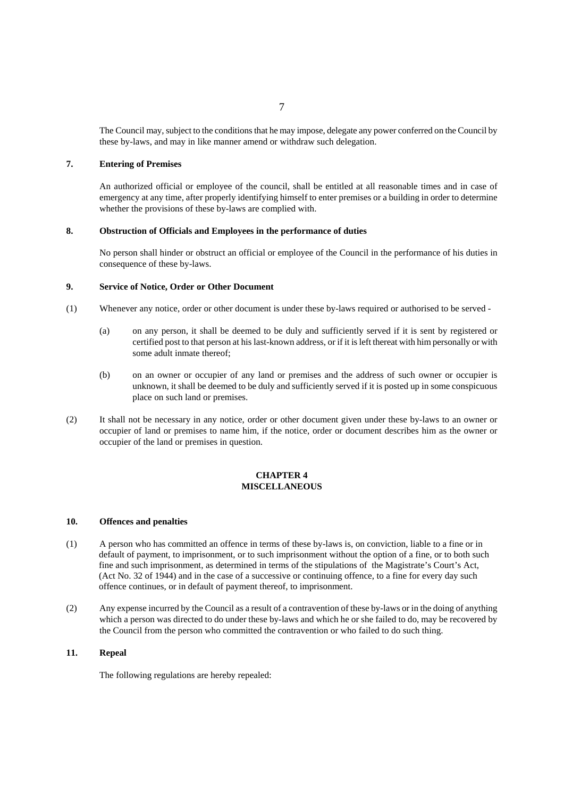The Council may, subject to the conditions that he may impose, delegate any power conferred on the Council by these by-laws, and may in like manner amend or withdraw such delegation.

#### **7. Entering of Premises**

An authorized official or employee of the council, shall be entitled at all reasonable times and in case of emergency at any time, after properly identifying himself to enter premises or a building in order to determine whether the provisions of these by-laws are complied with.

#### **8. Obstruction of Officials and Employees in the performance of duties**

No person shall hinder or obstruct an official or employee of the Council in the performance of his duties in consequence of these by-laws.

#### **9. Service of Notice, Order or Other Document**

- (1) Whenever any notice, order or other document is under these by-laws required or authorised to be served
	- (a) on any person, it shall be deemed to be duly and sufficiently served if it is sent by registered or certified post to that person at his last-known address, or if it is left thereat with him personally or with some adult inmate thereof;
	- (b) on an owner or occupier of any land or premises and the address of such owner or occupier is unknown, it shall be deemed to be duly and sufficiently served if it is posted up in some conspicuous place on such land or premises.
- (2) It shall not be necessary in any notice, order or other document given under these by-laws to an owner or occupier of land or premises to name him, if the notice, order or document describes him as the owner or occupier of the land or premises in question.

#### **CHAPTER 4 MISCELLANEOUS**

#### **10. Offences and penalties**

- (1) A person who has committed an offence in terms of these by-laws is, on conviction, liable to a fine or in default of payment, to imprisonment, or to such imprisonment without the option of a fine, or to both such fine and such imprisonment, as determined in terms of the stipulations of the Magistrate's Court's Act, (Act No. 32 of 1944) and in the case of a successive or continuing offence, to a fine for every day such offence continues, or in default of payment thereof, to imprisonment.
- (2) Any expense incurred by the Council as a result of a contravention of these by-laws or in the doing of anything which a person was directed to do under these by-laws and which he or she failed to do, may be recovered by the Council from the person who committed the contravention or who failed to do such thing.

#### **11. Repeal**

The following regulations are hereby repealed: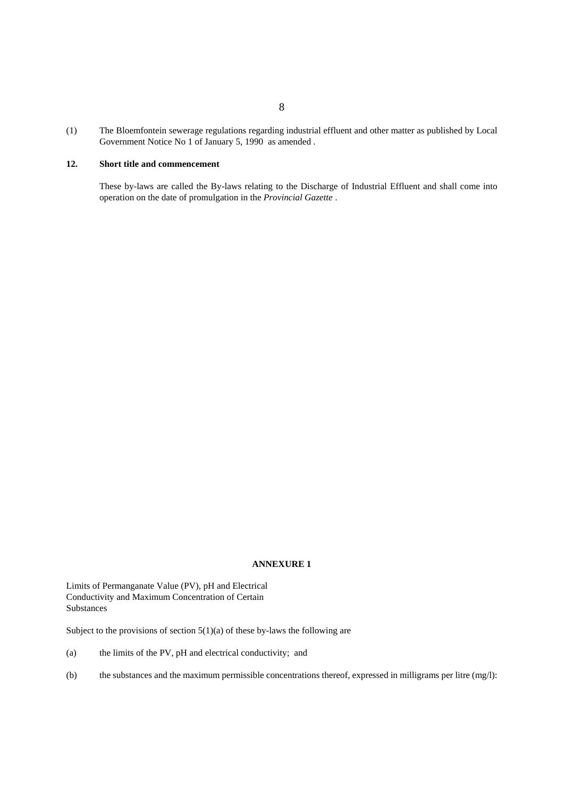(1) The Bloemfontein sewerage regulations regarding industrial effluent and other matter as published by Local Government Notice No 1 of January 5, 1990 as amended .

## **12. Short title and commencement**

These by-laws are called the By-laws relating to the Discharge of Industrial Effluent and shall come into operation on the date of promulgation in the *Provincial Gazette* .

# **ANNEXURE 1**

Limits of Permanganate Value (PV), pH and Electrical Conductivity and Maximum Concentration of Certain Substances

Subject to the provisions of section 5(1)(a) of these by-laws the following are

- (a) the limits of the PV, pH and electrical conductivity; and
- (b) the substances and the maximum permissible concentrations thereof, expressed in milligrams per litre  $(mg/l)$ :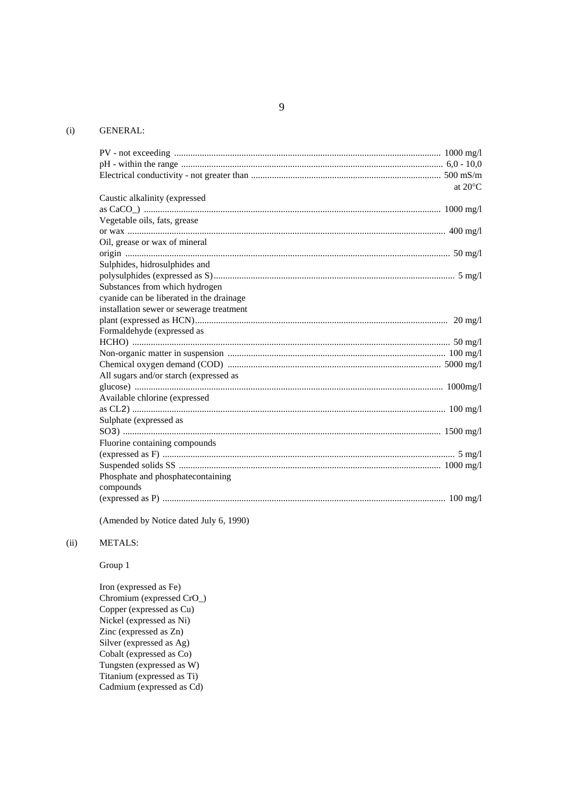# (i) GENERAL:

| at $20^{\circ}$ C                        |
|------------------------------------------|
| Caustic alkalinity (expressed            |
|                                          |
| Vegetable oils, fats, grease             |
|                                          |
| Oil, grease or wax of mineral            |
|                                          |
| Sulphides, hidrosulphides and            |
|                                          |
| Substances from which hydrogen           |
| cyanide can be liberated in the drainage |
| installation sewer or sewerage treatment |
|                                          |
| Formaldehyde (expressed as               |
|                                          |
|                                          |
|                                          |
| All sugars and/or starch (expressed as   |
|                                          |
| Available chlorine (expressed            |
|                                          |
| Sulphate (expressed as                   |
|                                          |
| Fluorine containing compounds            |
|                                          |
|                                          |
| Phosphate and phosphatecontaining        |
| compounds                                |
|                                          |

(Amended by Notice dated July 6, 1990)

#### (ii) METALS:

Group 1

Iron (expressed as Fe) Chromium (expressed CrO\_) Copper (expressed as Cu) Nickel (expressed as Ni) Zinc (expressed as Zn) Silver (expressed as Ag) Cobalt (expressed as Co) Tungsten (expressed as W) Titanium (expressed as Ti) Cadmium (expressed as Cd)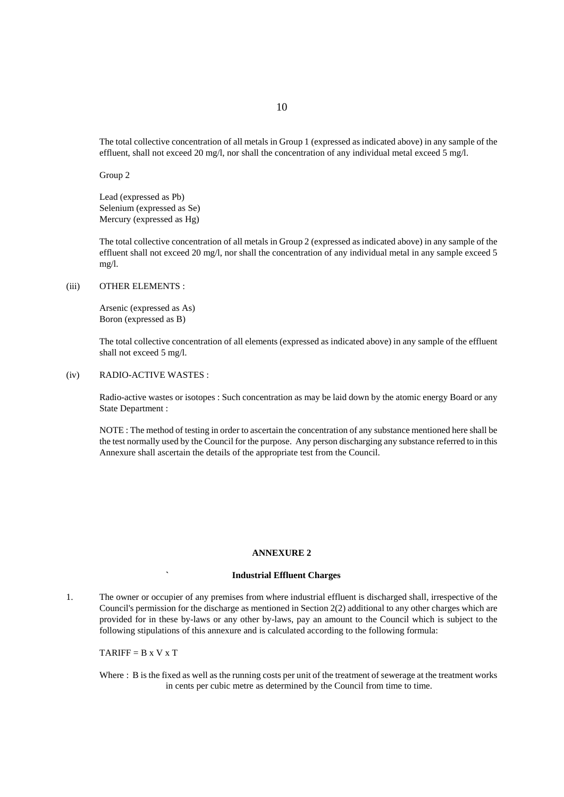The total collective concentration of all metals in Group 1 (expressed as indicated above) in any sample of the effluent, shall not exceed 20 mg/l, nor shall the concentration of any individual metal exceed 5 mg/l.

Group 2

Lead (expressed as Pb) Selenium (expressed as Se) Mercury (expressed as Hg)

The total collective concentration of all metals in Group 2 (expressed as indicated above) in any sample of the effluent shall not exceed 20 mg/l, nor shall the concentration of any individual metal in any sample exceed 5 mg/l.

(iii) OTHER ELEMENTS :

Arsenic (expressed as As) Boron (expressed as B)

The total collective concentration of all elements (expressed as indicated above) in any sample of the effluent shall not exceed 5 mg/l.

#### (iv) RADIO-ACTIVE WASTES :

Radio-active wastes or isotopes : Such concentration as may be laid down by the atomic energy Board or any State Department :

NOTE : The method of testing in order to ascertain the concentration of any substance mentioned here shall be the test normally used by the Council for the purpose. Any person discharging any substance referred to in this Annexure shall ascertain the details of the appropriate test from the Council.

#### **ANNEXURE 2**

# **` Industrial Effluent Charges**

1. The owner or occupier of any premises from where industrial effluent is discharged shall, irrespective of the Council's permission for the discharge as mentioned in Section 2(2) additional to any other charges which are provided for in these by-laws or any other by-laws, pay an amount to the Council which is subject to the following stipulations of this annexure and is calculated according to the following formula:

 $TARIFF = B \times V \times T$ 

Where : B is the fixed as well as the running costs per unit of the treatment of sewerage at the treatment works in cents per cubic metre as determined by the Council from time to time.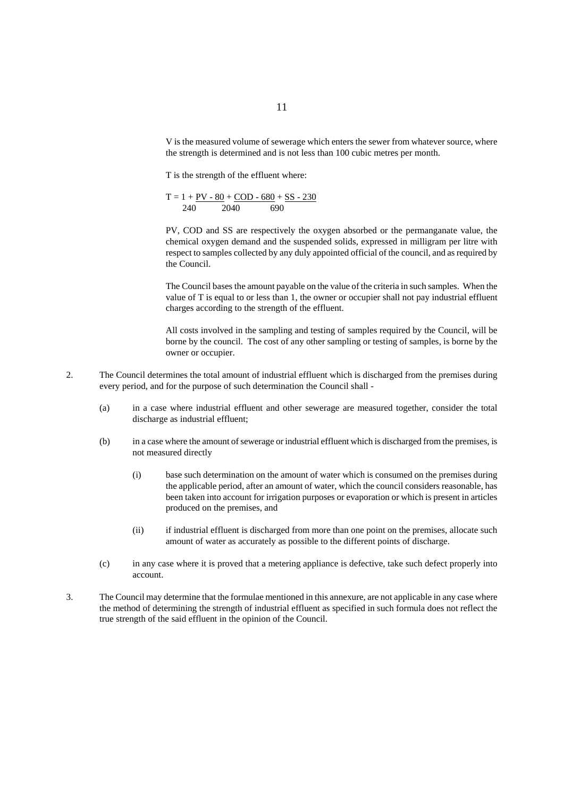V is the measured volume of sewerage which enters the sewer from whatever source, where the strength is determined and is not less than 100 cubic metres per month.

T is the strength of the effluent where:

$$
T = 1 + \underline{PV} - 80 + \underline{COD - 680} + \underline{SS - 230}
$$
  
240 2040 690

PV, COD and SS are respectively the oxygen absorbed or the permanganate value, the chemical oxygen demand and the suspended solids, expressed in milligram per litre with respect to samples collected by any duly appointed official of the council, and as required by the Council.

The Council bases the amount payable on the value of the criteria in such samples. When the value of T is equal to or less than 1, the owner or occupier shall not pay industrial effluent charges according to the strength of the effluent.

All costs involved in the sampling and testing of samples required by the Council, will be borne by the council. The cost of any other sampling or testing of samples, is borne by the owner or occupier.

- 2. The Council determines the total amount of industrial effluent which is discharged from the premises during every period, and for the purpose of such determination the Council shall -
	- (a) in a case where industrial effluent and other sewerage are measured together, consider the total discharge as industrial effluent;
	- (b) in a case where the amount of sewerage or industrial effluent which is discharged from the premises, is not measured directly
		- (i) base such determination on the amount of water which is consumed on the premises during the applicable period, after an amount of water, which the council considers reasonable, has been taken into account for irrigation purposes or evaporation or which is present in articles produced on the premises, and
		- (ii) if industrial effluent is discharged from more than one point on the premises, allocate such amount of water as accurately as possible to the different points of discharge.
	- (c) in any case where it is proved that a metering appliance is defective, take such defect properly into account.
- 3. The Council may determine that the formulae mentioned in this annexure, are not applicable in any case where the method of determining the strength of industrial effluent as specified in such formula does not reflect the true strength of the said effluent in the opinion of the Council.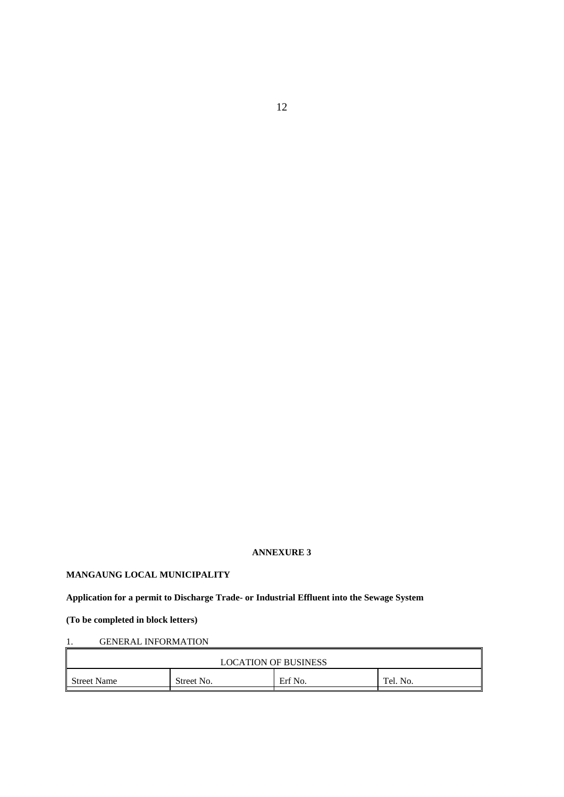#### **ANNEXURE 3**

# **MANGAUNG LOCAL MUNICIPALITY**

# **Application for a permit to Discharge Trade- or Industrial Effluent into the Sewage System**

# **(To be completed in block letters)**

# 1. GENERAL INFORMATION

| <b>LOCATION OF BUSINESS</b> |            |         |          |  |
|-----------------------------|------------|---------|----------|--|
| <b>Street Name</b>          | Street No. | Erf No. | Tel. No. |  |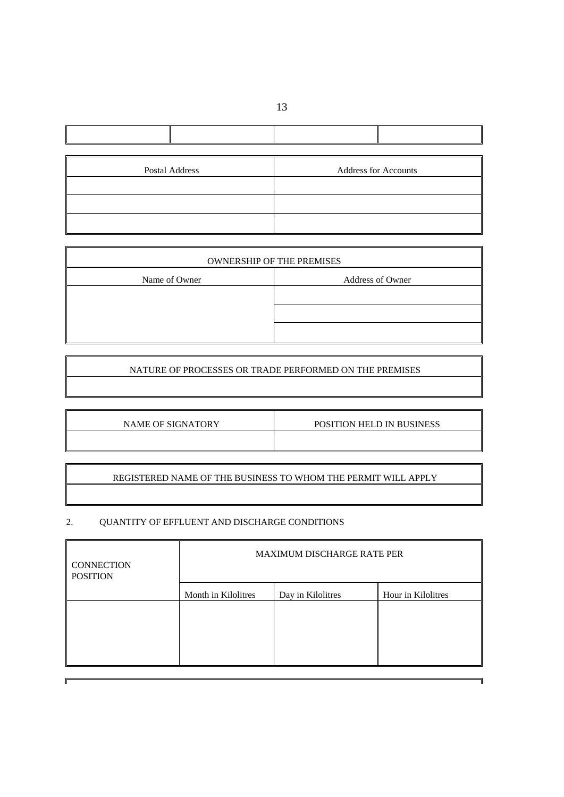| Postal Address | <b>Address for Accounts</b> |
|----------------|-----------------------------|
|                |                             |
|                |                             |
|                |                             |

| <b>OWNERSHIP OF THE PREMISES</b> |                  |  |  |
|----------------------------------|------------------|--|--|
| Name of Owner                    | Address of Owner |  |  |
|                                  |                  |  |  |
|                                  |                  |  |  |
|                                  |                  |  |  |

# NATURE OF PROCESSES OR TRADE PERFORMED ON THE PREMISES

| NAME OF SIGNATORY | <b>POSITION HELD IN BUSINESS</b> |
|-------------------|----------------------------------|
|                   |                                  |

REGISTERED NAME OF THE BUSINESS TO WHOM THE PERMIT WILL APPLY

# 2. QUANTITY OF EFFLUENT AND DISCHARGE CONDITIONS

 $\mathbf{F}$ 

| <b>CONNECTION</b><br><b>POSITION</b> | <b>MAXIMUM DISCHARGE RATE PER</b> |                   |                    |
|--------------------------------------|-----------------------------------|-------------------|--------------------|
|                                      | Month in Kilolitres               | Day in Kilolitres | Hour in Kilolitres |
|                                      |                                   |                   |                    |
|                                      |                                   |                   |                    |
|                                      |                                   |                   |                    |
|                                      |                                   |                   |                    |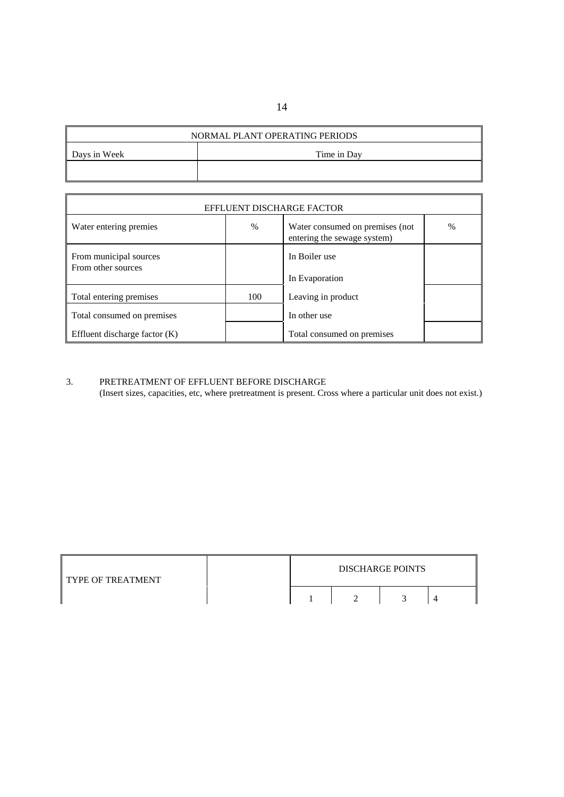# NORMAL PLANT OPERATING PERIODS

| Days in Week | Time in Day |
|--------------|-------------|
|              |             |

| EFFLUENT DISCHARGE FACTOR                    |      |                                                                 |   |  |
|----------------------------------------------|------|-----------------------------------------------------------------|---|--|
| Water entering premies                       | $\%$ | Water consumed on premises (not)<br>entering the sewage system) | % |  |
| From municipal sources<br>From other sources |      | In Boiler use<br>In Evaporation                                 |   |  |
| Total entering premises                      | 100  | Leaving in product                                              |   |  |
| Total consumed on premises                   |      | In other use                                                    |   |  |
| Effluent discharge factor (K)                |      | Total consumed on premises                                      |   |  |

# 3. PRETREATMENT OF EFFLUENT BEFORE DISCHARGE

 $\mathsf I$ 

(Insert sizes, capacities, etc, where pretreatment is present. Cross where a particular unit does not exist.)

| <b>TYPE OF TREATMENT</b> |  | <b>DISCHARGE POINTS</b> |  |
|--------------------------|--|-------------------------|--|
|                          |  |                         |  |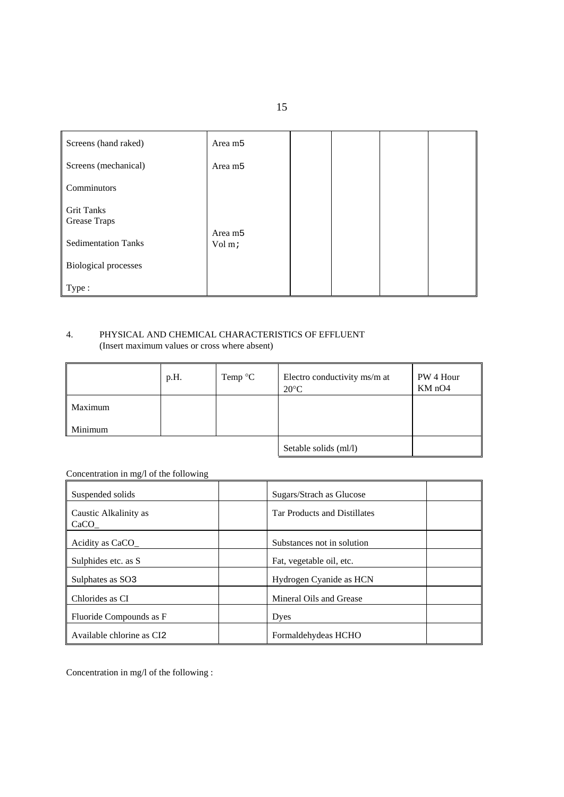| Screens (hand raked)              | Area m <sub>5</sub> |  |  |
|-----------------------------------|---------------------|--|--|
| Screens (mechanical)              | Area m <sub>5</sub> |  |  |
| Comminutors                       |                     |  |  |
| <b>Grit Tanks</b><br>Grease Traps | Area m <sub>5</sub> |  |  |
| <b>Sedimentation Tanks</b>        | Vol m;              |  |  |
| <b>Biological processes</b>       |                     |  |  |
| Type:                             |                     |  |  |

# 4. PHYSICAL AND CHEMICAL CHARACTERISTICS OF EFFLUENT (Insert maximum values or cross where absent)

|         | p.H. | Temp $\mathrm{C}$ | Electro conductivity ms/m at<br>$20^{\circ}$ C | PW 4 Hour<br>KM nO4 |
|---------|------|-------------------|------------------------------------------------|---------------------|
| Maximum |      |                   |                                                |                     |
| Minimum |      |                   |                                                |                     |
|         |      |                   | Setable solids (ml/l)                          |                     |

# Concentration in mg/l of the following

| Suspended solids              | Sugars/Strach as Glucose            |
|-------------------------------|-------------------------------------|
| Caustic Alkalinity as<br>CaCO | <b>Tar Products and Distillates</b> |
| Acidity as CaCO               | Substances not in solution          |
| Sulphides etc. as S           | Fat, vegetable oil, etc.            |
| Sulphates as SO <sub>3</sub>  | Hydrogen Cyanide as HCN             |
| Chlorides as CI               | Mineral Oils and Grease             |
| Fluoride Compounds as F       | Dyes                                |
| Available chlorine as CI2     | Formaldehydeas HCHO                 |

Concentration in mg/l of the following :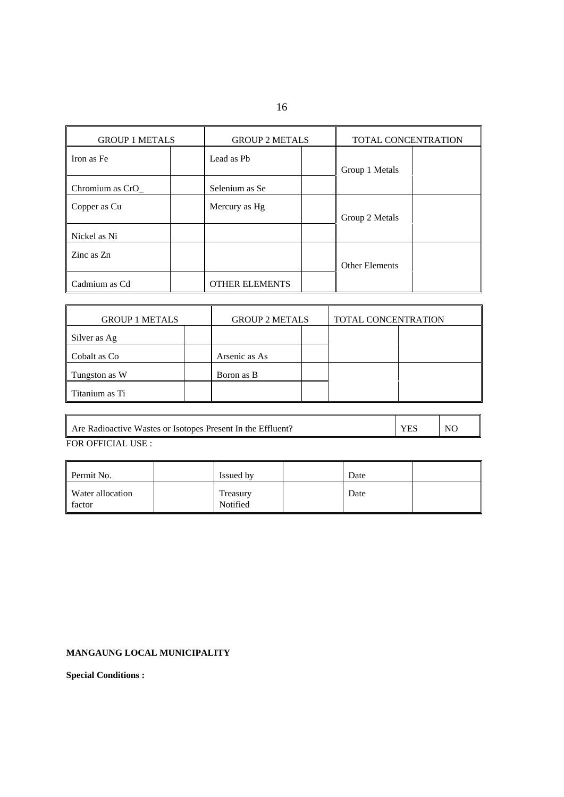16

| <b>GROUP 1 METALS</b> |  | <b>GROUP 2 METALS</b> |  | TOTAL CONCENTRATION |  |
|-----------------------|--|-----------------------|--|---------------------|--|
| Iron as Fe            |  | Lead as Pb            |  | Group 1 Metals      |  |
| Chromium as CrO_      |  | Selenium as Se        |  |                     |  |
| Copper as Cu          |  | Mercury as Hg         |  | Group 2 Metals      |  |
| Nickel as Ni          |  |                       |  |                     |  |
| Zinc as Zn            |  |                       |  | Other Elements      |  |
| Cadmium as Cd         |  | <b>OTHER ELEMENTS</b> |  |                     |  |

| <b>GROUP 1 METALS</b> |  | <b>GROUP 2 METALS</b> |  | TOTAL CONCENTRATION |  |
|-----------------------|--|-----------------------|--|---------------------|--|
| Silver as Ag          |  |                       |  |                     |  |
| Cobalt as Co          |  | Arsenic as As         |  |                     |  |
| Tungston as W         |  | Boron as B            |  |                     |  |
| l Titanium as Ti      |  |                       |  |                     |  |

| Are Radioactive Wastes or Isotopes Present In the Effluent? | <b>YFS</b> | N <sub>0</sub> |
|-------------------------------------------------------------|------------|----------------|
| FOR OFFICIAL USE :                                          |            |                |

| Permit No.                        | Issued by            | Date |  |
|-----------------------------------|----------------------|------|--|
| <b>Water allocation</b><br>factor | Treasury<br>Notified | Date |  |

# **MANGAUNG LOCAL MUNICIPALITY**

**Special Conditions :**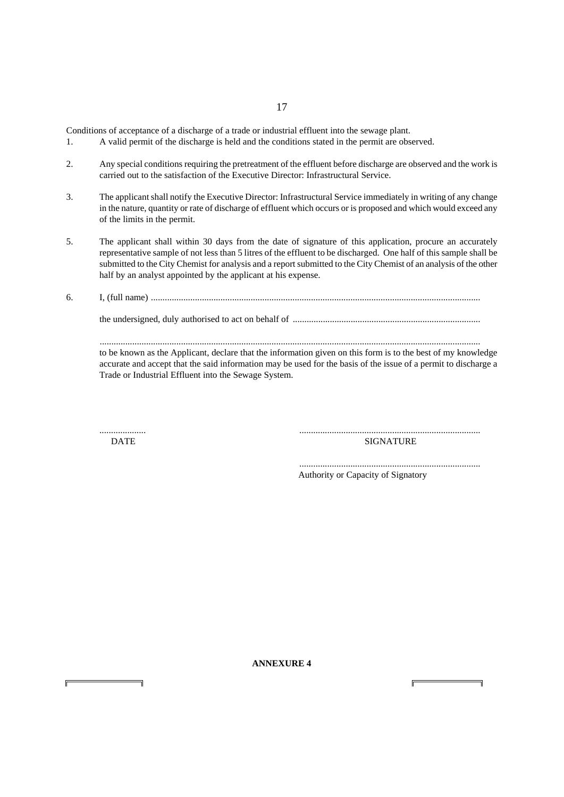Conditions of acceptance of a discharge of a trade or industrial effluent into the sewage plant.

- 1. A valid permit of the discharge is held and the conditions stated in the permit are observed.
- 2. Any special conditions requiring the pretreatment of the effluent before discharge are observed and the work is carried out to the satisfaction of the Executive Director: Infrastructural Service.
- 3. The applicant shall notify the Executive Director: Infrastructural Service immediately in writing of any change in the nature, quantity or rate of discharge of effluent which occurs or is proposed and which would exceed any of the limits in the permit.
- 5. The applicant shall within 30 days from the date of signature of this application, procure an accurately representative sample of not less than 5 litres of the effluent to be discharged. One half of this sample shall be submitted to the City Chemist for analysis and a report submitted to the City Chemist of an analysis of the other half by an analyst appointed by the applicant at his expense.
- 6. I, (full name) ..............................................................................................................................................

the undersigned, duly authorised to act on behalf of .................................................................................

 .................................................................................................................................................................... to be known as the Applicant, declare that the information given on this form is to the best of my knowledge accurate and accept that the said information may be used for the basis of the issue of a permit to discharge a Trade or Industrial Effluent into the Sewage System.

.................... ..............................................................................

DATE SIGNATURE

 .............................................................................. Authority or Capacity of Signatory

17

**ANNEXURE 4**

j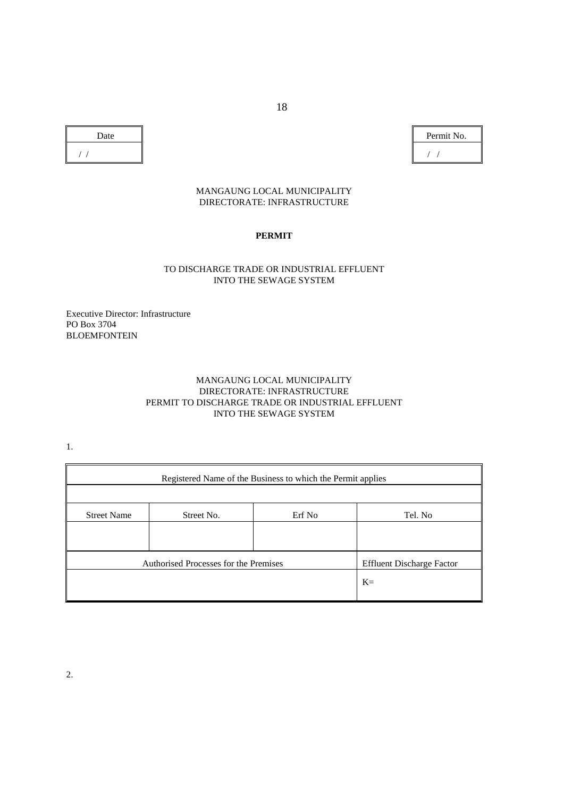| Date | Perr |
|------|------|
|      |      |

Permit No.

# MANGAUNG LOCAL MUNICIPALITY DIRECTORATE: INFRASTRUCTURE

# **PERMIT**

# TO DISCHARGE TRADE OR INDUSTRIAL EFFLUENT INTO THE SEWAGE SYSTEM

Executive Director: Infrastructure PO Box 3704 BLOEMFONTEIN

# MANGAUNG LOCAL MUNICIPALITY DIRECTORATE: INFRASTRUCTURE PERMIT TO DISCHARGE TRADE OR INDUSTRIAL EFFLUENT INTO THE SEWAGE SYSTEM

1.

| Registered Name of the Business to which the Permit applies |                                       |        |                                  |
|-------------------------------------------------------------|---------------------------------------|--------|----------------------------------|
| <b>Street Name</b>                                          | Street No.                            | Erf No | Tel. No                          |
|                                                             |                                       |        |                                  |
|                                                             | Authorised Processes for the Premises |        | <b>Effluent Discharge Factor</b> |
|                                                             |                                       |        | $K=$                             |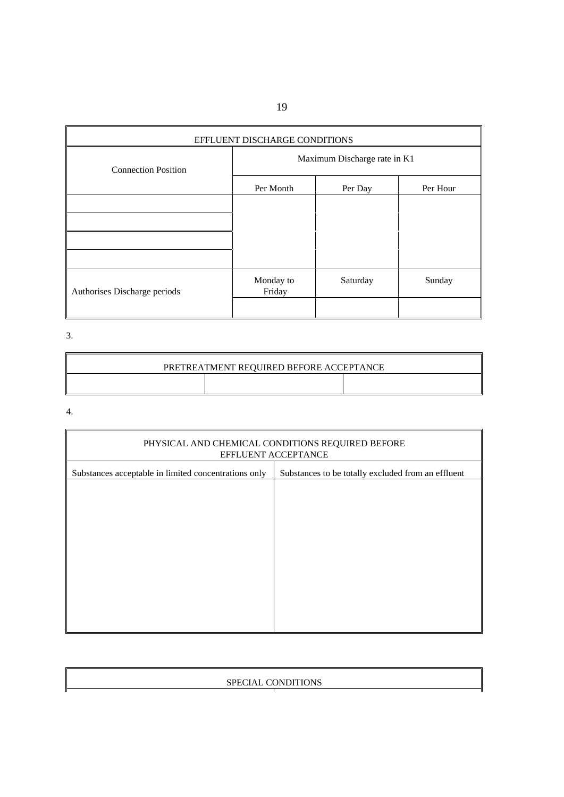| EFFLUENT DISCHARGE CONDITIONS |                              |          |          |
|-------------------------------|------------------------------|----------|----------|
| <b>Connection Position</b>    | Maximum Discharge rate in K1 |          |          |
|                               | Per Month                    | Per Day  | Per Hour |
|                               |                              |          |          |
|                               |                              |          |          |
|                               |                              |          |          |
|                               |                              |          |          |
| Authorises Discharge periods  | Monday to<br>Friday          | Saturday | Sunday   |
|                               |                              |          |          |

3.

| PRETREATMENT REQUIRED BEFORE ACCEPTANCE |  |  |  |
|-----------------------------------------|--|--|--|
|                                         |  |  |  |

4.

| PHYSICAL AND CHEMICAL CONDITIONS REQUIRED BEFORE<br>EFFLUENT ACCEPTANCE |                                                    |  |  |
|-------------------------------------------------------------------------|----------------------------------------------------|--|--|
| Substances acceptable in limited concentrations only                    | Substances to be totally excluded from an effluent |  |  |
|                                                                         |                                                    |  |  |
|                                                                         |                                                    |  |  |
|                                                                         |                                                    |  |  |
|                                                                         |                                                    |  |  |
|                                                                         |                                                    |  |  |
|                                                                         |                                                    |  |  |
|                                                                         |                                                    |  |  |
|                                                                         |                                                    |  |  |
|                                                                         |                                                    |  |  |

| SPECIAL CONDITIONS |  |
|--------------------|--|
|                    |  |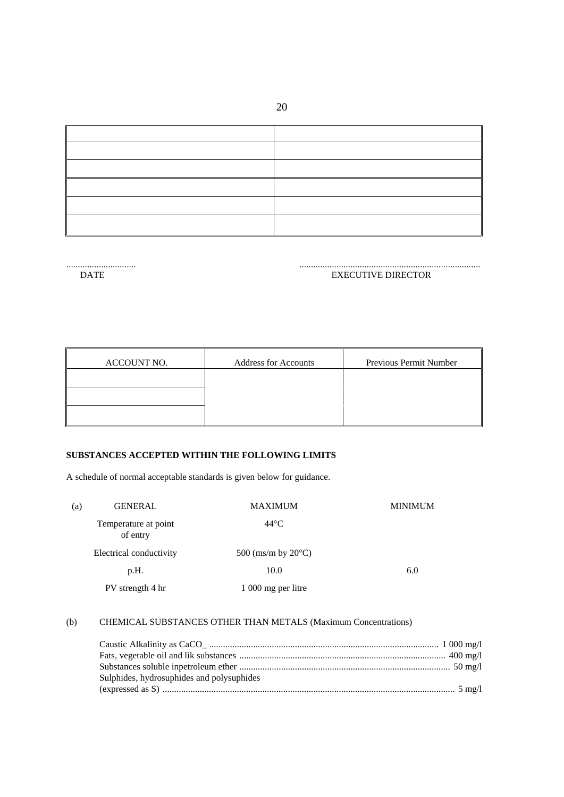20

| the control of the control of the control of |  |
|----------------------------------------------|--|
| the control of the control of the            |  |
|                                              |  |
|                                              |  |
|                                              |  |
|                                              |  |

#### .............................. .............................................................................. EXECUTIVE DIRECTOR

| ACCOUNT NO. | <b>Address for Accounts</b> | Previous Permit Number |
|-------------|-----------------------------|------------------------|
|             |                             |                        |
|             |                             |                        |
|             |                             |                        |

# **SUBSTANCES ACCEPTED WITHIN THE FOLLOWING LIMITS**

A schedule of normal acceptable standards is given below for guidance.

| (a) | <b>GENERAL</b>                   | <b>MAXIMUM</b>               | <b>MINIMUM</b> |
|-----|----------------------------------|------------------------------|----------------|
|     | Temperature at point<br>of entry | $44^{\circ}$ C               |                |
|     | Electrical conductivity          | 500 (ms/m by $20^{\circ}$ C) |                |
|     | p.H.                             | 10.0                         | 6.0            |
|     | PV strength 4 hr                 | 1 000 mg per litre           |                |

# (b) CHEMICAL SUBSTANCES OTHER THAN METALS (Maximum Concentrations)

| Sulphides, hydrosuphides and polysuphides |  |
|-------------------------------------------|--|
|                                           |  |